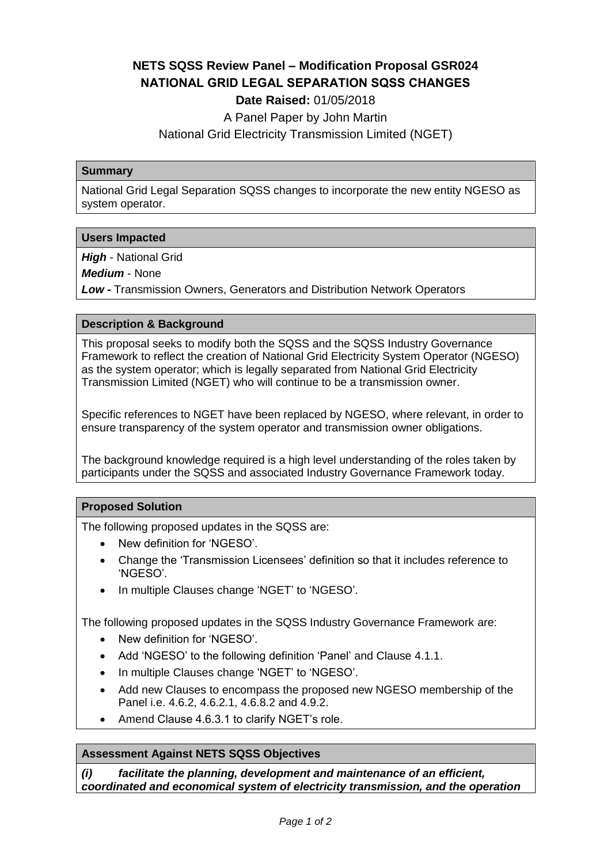# **NETS SQSS Review Panel – Modification Proposal GSR024 NATIONAL GRID LEGAL SEPARATION SQSS CHANGES**

## **Date Raised:** 01/05/2018

A Panel Paper by John Martin

National Grid Electricity Transmission Limited (NGET)

#### **Summary**

National Grid Legal Separation SQSS changes to incorporate the new entity NGESO as system operator.

## **Users Impacted**

*High* - National Grid

*Medium* - None

*Low -* Transmission Owners, Generators and Distribution Network Operators

#### **Description & Background**

This proposal seeks to modify both the SQSS and the SQSS Industry Governance Framework to reflect the creation of National Grid Electricity System Operator (NGESO) as the system operator; which is legally separated from National Grid Electricity Transmission Limited (NGET) who will continue to be a transmission owner.

Specific references to NGET have been replaced by NGESO, where relevant, in order to ensure transparency of the system operator and transmission owner obligations.

The background knowledge required is a high level understanding of the roles taken by participants under the SQSS and associated Industry Governance Framework today.

## **Proposed Solution**

The following proposed updates in the SQSS are:

- New definition for 'NGESO'.
- Change the 'Transmission Licensees' definition so that it includes reference to 'NGESO'.
- In multiple Clauses change 'NGET' to 'NGESO'.

The following proposed updates in the SQSS Industry Governance Framework are:

- New definition for 'NGESO'.
- Add 'NGESO' to the following definition 'Panel' and Clause 4.1.1.
- In multiple Clauses change 'NGET' to 'NGESO'.
- Add new Clauses to encompass the proposed new NGESO membership of the Panel i.e. 4.6.2, 4.6.2.1, 4.6.8.2 and 4.9.2.
- Amend Clause 4.6.3.1 to clarify NGET's role.

## **Assessment Against NETS SQSS Objectives**

*(i) facilitate the planning, development and maintenance of an efficient, coordinated and economical system of electricity transmission, and the operation*